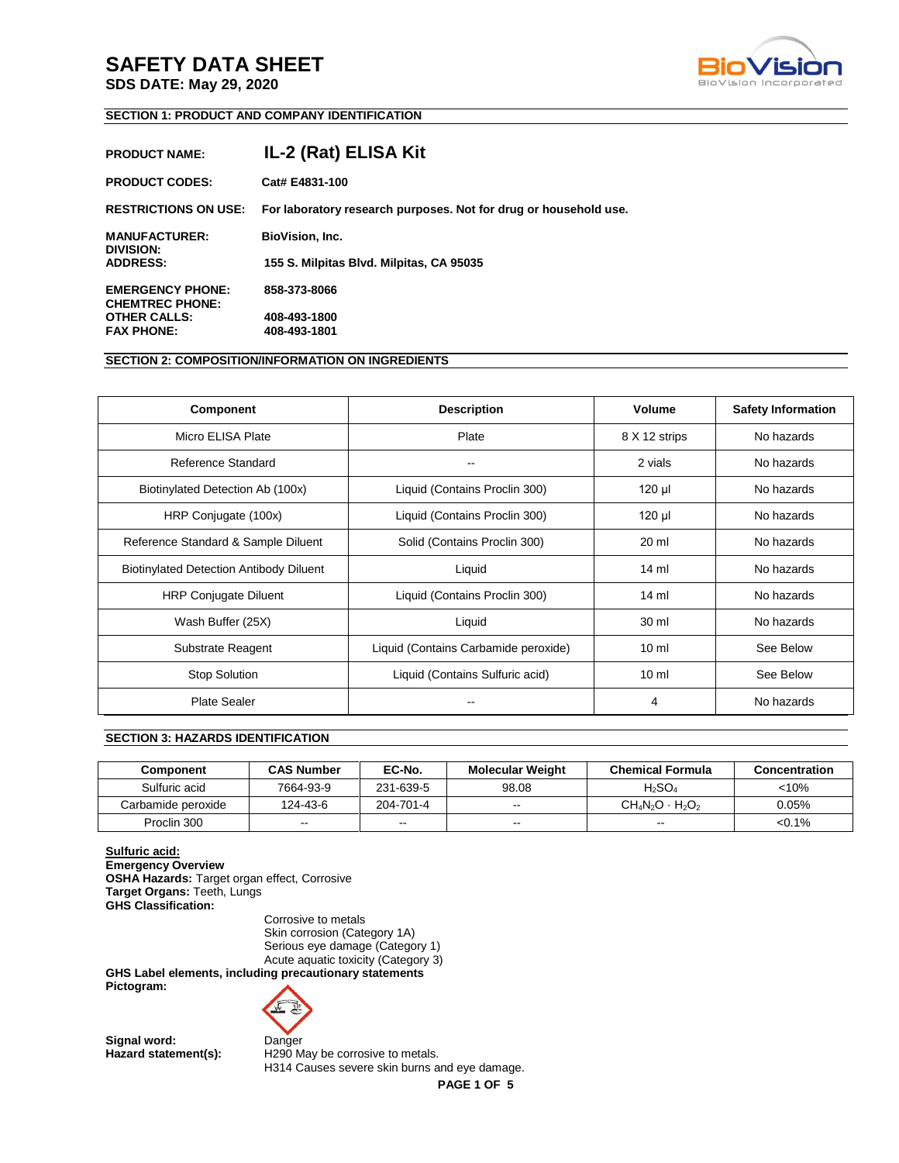**SDS DATE: May 29, 2020**



# **SECTION 1: PRODUCT AND COMPANY IDENTIFICATION**

| <b>PRODUCT NAME:</b>                              | IL-2 (Rat) ELISA Kit                                             |
|---------------------------------------------------|------------------------------------------------------------------|
| <b>PRODUCT CODES:</b>                             | Cat# E4831-100                                                   |
| <b>RESTRICTIONS ON USE:</b>                       | For laboratory research purposes. Not for drug or household use. |
| <b>MANUFACTURER:</b><br>DIVISION:                 | <b>BioVision, Inc.</b>                                           |
| <b>ADDRESS:</b>                                   | 155 S. Milpitas Blvd. Milpitas, CA 95035                         |
| <b>EMERGENCY PHONE:</b><br><b>CHEMTREC PHONE:</b> | 858-373-8066                                                     |
| <b>OTHER CALLS:</b>                               | 408-493-1800                                                     |
| <b>FAX PHONE:</b>                                 | 408-493-1801                                                     |

# **SECTION 2: COMPOSITION/INFORMATION ON INGREDIENTS**

| <b>Component</b>                               | <b>Description</b>                   | <b>Volume</b>   | <b>Safety Information</b> |
|------------------------------------------------|--------------------------------------|-----------------|---------------------------|
| Micro ELISA Plate                              | Plate                                | 8 X 12 strips   | No hazards                |
| Reference Standard                             |                                      | 2 vials         | No hazards                |
| Biotinylated Detection Ab (100x)               | Liquid (Contains Proclin 300)        | 120 µl          | No hazards                |
| HRP Conjugate (100x)                           | Liquid (Contains Proclin 300)        | 120 µl          | No hazards                |
| Reference Standard & Sample Diluent            | Solid (Contains Proclin 300)         | 20 ml           | No hazards                |
| <b>Biotinylated Detection Antibody Diluent</b> | Liquid                               | $14 \text{ ml}$ | No hazards                |
| <b>HRP Conjugate Diluent</b>                   | Liquid (Contains Proclin 300)        | $14 \text{ ml}$ | No hazards                |
| Wash Buffer (25X)                              | Liquid                               | 30 ml           | No hazards                |
| Substrate Reagent                              | Liquid (Contains Carbamide peroxide) | 10 <sub>m</sub> | See Below                 |
| <b>Stop Solution</b>                           | Liquid (Contains Sulfuric acid)      | 10 <sub>m</sub> | See Below                 |
| <b>Plate Sealer</b>                            |                                      | 4               | No hazards                |

# **SECTION 3: HAZARDS IDENTIFICATION**

| Component          | <b>CAS Number</b>        | EC-No.    | <b>Molecular Weight</b> | <b>Chemical Formula</b> | Concentration |
|--------------------|--------------------------|-----------|-------------------------|-------------------------|---------------|
| Sulfuric acid      | 7664-93-9                | 231-639-5 | 98.08                   | $H_2SO_4$               | < 10%         |
| Carbamide peroxide | 124-43-6                 | 204-701-4 | $\sim$                  | $CH_4N_2O \cdot H_2O_2$ | $0.05\%$      |
| Proclin 300        | $\overline{\phantom{a}}$ | $-1$      | $- -$                   | $- -$                   | $< 0.1\%$     |

**Sulfuric acid: Emergency Overview OSHA Hazards:** Target organ effect, Corrosive **Target Organs:** Teeth, Lungs **GHS Classification:** 

Corrosive to metals Skin corrosion (Category 1A) Serious eye damage (Category 1) Acute aquatic toxicity (Category 3)

**GHS Label elements, including precautionary statements Pictogram:** 



Signal word: Danger

Hazard statement(s): H290 May be corrosive to metals. H314 Causes severe skin burns and eye damage.

**PAGE 1 OF 5**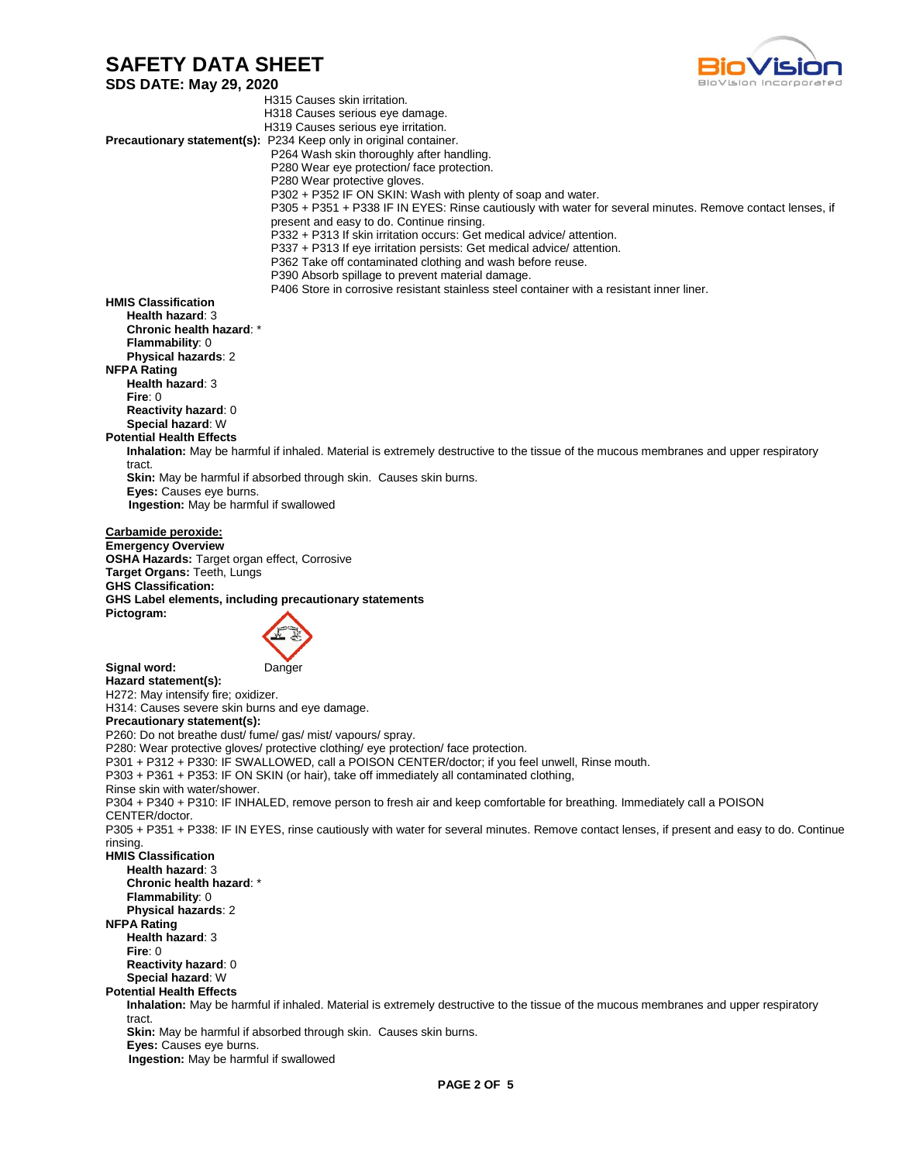**SDS DATE: May 29, 2020** H315 Causes skin irritation. H318 Causes serious eye damage. H319 Causes serious eye irritation. **Precautionary statement(s):** P234 Keep only in original container. P264 Wash skin thoroughly after handling. P280 Wear eye protection/ face protection. P280 Wear protective gloves. P302 + P352 IF ON SKIN: Wash with plenty of soap and water. P305 + P351 + P338 IF IN EYES: Rinse cautiously with water for several minutes. Remove contact lenses, if present and easy to do. Continue rinsing. P332 + P313 If skin irritation occurs: Get medical advice/ attention. P337 + P313 If eye irritation persists: Get medical advice/ attention. P362 Take off contaminated clothing and wash before reuse. P390 Absorb spillage to prevent material damage. P406 Store in corrosive resistant stainless steel container with a resistant inner liner. **HMIS Classification Health hazard**: 3 **Chronic health hazard**: \* **Flammability**: 0 **Physical hazards**: 2 **NFPA Rating Health hazard**: 3 **Fire**: 0 **Reactivity hazard**: 0 **Special hazard**: W **Potential Health Effects Inhalation:** May be harmful if inhaled. Material is extremely destructive to the tissue of the mucous membranes and upper respiratory tract. **Skin:** May be harmful if absorbed through skin. Causes skin burns. **Eyes:** Causes eye burns.  **Ingestion:** May be harmful if swallowed **Carbamide peroxide: Emergency Overview OSHA Hazards:** Target organ effect, Corrosive **Target Organs:** Teeth, Lungs **GHS Classification: GHS Label elements, including precautionary statements Pictogram: Signal word:** Danger **Hazard statement(s):**  H272: May intensify fire; oxidizer. H314: Causes severe skin burns and eye damage. **Precautionary statement(s):**  P260: Do not breathe dust/ fume/ gas/ mist/ vapours/ spray. P280: Wear protective gloves/ protective clothing/ eye protection/ face protection. P301 + P312 + P330: IF SWALLOWED, call a POISON CENTER/doctor; if you feel unwell, Rinse mouth. P303 + P361 + P353: IF ON SKIN (or hair), take off immediately all contaminated clothing, Rinse skin with water/shower. P304 + P340 + P310: IF INHALED, remove person to fresh air and keep comfortable for breathing. Immediately call a POISON CENTER/doctor. P305 + P351 + P338: IF IN EYES, rinse cautiously with water for several minutes. Remove contact lenses, if present and easy to do. Continue rinsing. **HMIS Classification Health hazard**: 3 **Chronic health hazard**: \* **Flammability**: 0 **Physical hazards**: 2 **NFPA Rating Health hazard**: 3 **Fire**: 0 **Reactivity hazard**: 0 **Special hazard**: W **Potential Health Effects Inhalation:** May be harmful if inhaled. Material is extremely destructive to the tissue of the mucous membranes and upper respiratory tract. **Skin:** May be harmful if absorbed through skin. Causes skin burns. **Eyes:** Causes eye burns.  **Ingestion:** May be harmful if swallowed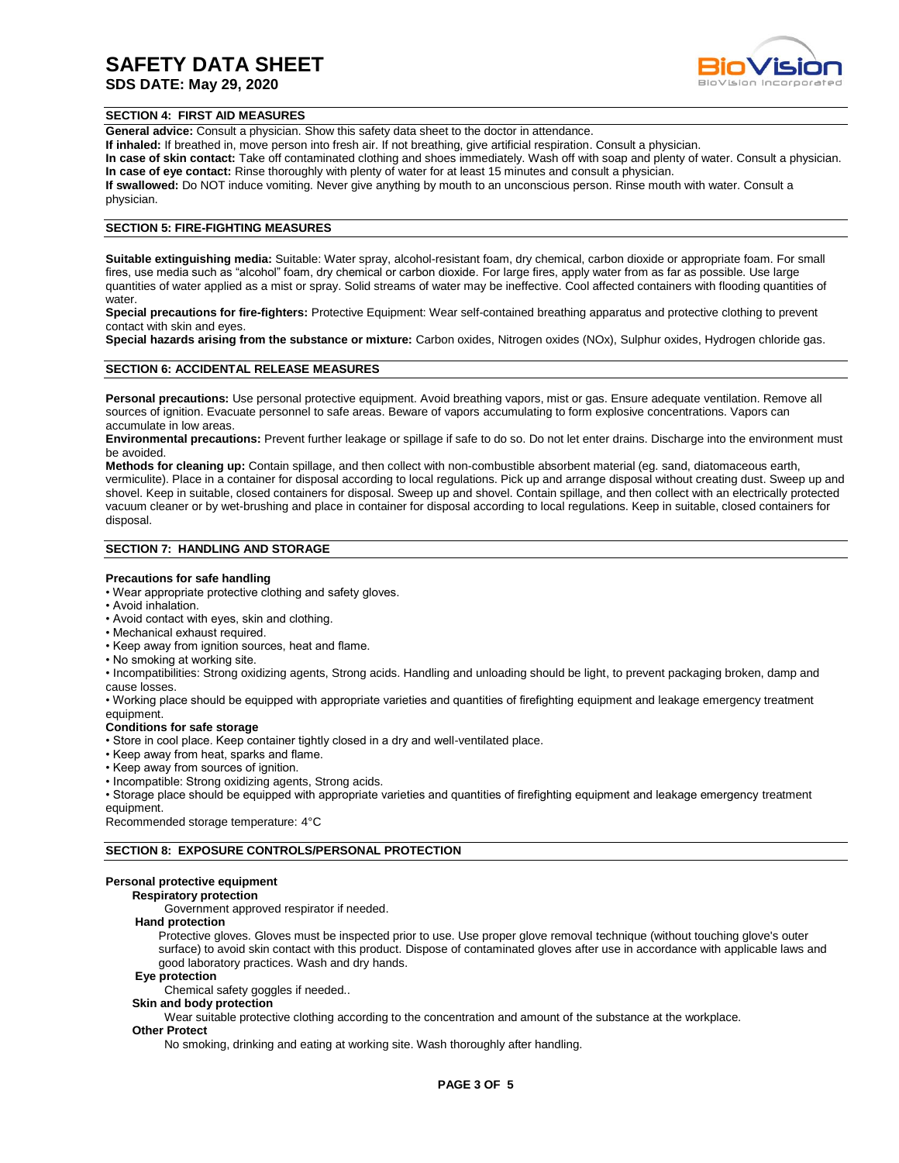# **SDS DATE: May 29, 2020**



#### **SECTION 4: FIRST AID MEASURES**

**General advice:** Consult a physician. Show this safety data sheet to the doctor in attendance.

**If inhaled:** If breathed in, move person into fresh air. If not breathing, give artificial respiration. Consult a physician.

**In case of skin contact:** Take off contaminated clothing and shoes immediately. Wash off with soap and plenty of water. Consult a physician. **In case of eye contact:** Rinse thoroughly with plenty of water for at least 15 minutes and consult a physician.

**If swallowed:** Do NOT induce vomiting. Never give anything by mouth to an unconscious person. Rinse mouth with water. Consult a physician.

#### **SECTION 5: FIRE-FIGHTING MEASURES**

**Suitable extinguishing media:** Suitable: Water spray, alcohol-resistant foam, dry chemical, carbon dioxide or appropriate foam. For small fires, use media such as "alcohol" foam, dry chemical or carbon dioxide. For large fires, apply water from as far as possible. Use large quantities of water applied as a mist or spray. Solid streams of water may be ineffective. Cool affected containers with flooding quantities of water.

**Special precautions for fire-fighters:** Protective Equipment: Wear self-contained breathing apparatus and protective clothing to prevent contact with skin and eyes.

**Special hazards arising from the substance or mixture:** Carbon oxides, Nitrogen oxides (NOx), Sulphur oxides, Hydrogen chloride gas.

### **SECTION 6: ACCIDENTAL RELEASE MEASURES**

**Personal precautions:** Use personal protective equipment. Avoid breathing vapors, mist or gas. Ensure adequate ventilation. Remove all sources of ignition. Evacuate personnel to safe areas. Beware of vapors accumulating to form explosive concentrations. Vapors can accumulate in low areas.

**Environmental precautions:** Prevent further leakage or spillage if safe to do so. Do not let enter drains. Discharge into the environment must be avoided.

**Methods for cleaning up:** Contain spillage, and then collect with non-combustible absorbent material (eg. sand, diatomaceous earth, vermiculite). Place in a container for disposal according to local regulations. Pick up and arrange disposal without creating dust. Sweep up and shovel. Keep in suitable, closed containers for disposal. Sweep up and shovel. Contain spillage, and then collect with an electrically protected vacuum cleaner or by wet-brushing and place in container for disposal according to local regulations. Keep in suitable, closed containers for disposal.

### **SECTION 7: HANDLING AND STORAGE**

#### **Precautions for safe handling**

- Wear appropriate protective clothing and safety gloves.
- Avoid inhalation.
- Avoid contact with eyes, skin and clothing.
- Mechanical exhaust required.
- Keep away from ignition sources, heat and flame.
- No smoking at working site.

• Incompatibilities: Strong oxidizing agents, Strong acids. Handling and unloading should be light, to prevent packaging broken, damp and cause losses.

• Working place should be equipped with appropriate varieties and quantities of firefighting equipment and leakage emergency treatment equipment.

#### **Conditions for safe storage**

• Store in cool place. Keep container tightly closed in a dry and well-ventilated place.

- Keep away from heat, sparks and flame.
- Keep away from sources of ignition.
- Incompatible: Strong oxidizing agents, Strong acids.

• Storage place should be equipped with appropriate varieties and quantities of firefighting equipment and leakage emergency treatment equipment.

Recommended storage temperature: 4°C

#### **SECTION 8: EXPOSURE CONTROLS/PERSONAL PROTECTION**

#### **Personal protective equipment**

#### **Respiratory protection**

Government approved respirator if needed.

#### **Hand protection**

Protective gloves. Gloves must be inspected prior to use. Use proper glove removal technique (without touching glove's outer surface) to avoid skin contact with this product. Dispose of contaminated gloves after use in accordance with applicable laws and good laboratory practices. Wash and dry hands.

#### **Eye protection**

Chemical safety goggles if needed..

**Skin and body protection**

Wear suitable protective clothing according to the concentration and amount of the substance at the workplace.

#### **Other Protect**

No smoking, drinking and eating at working site. Wash thoroughly after handling.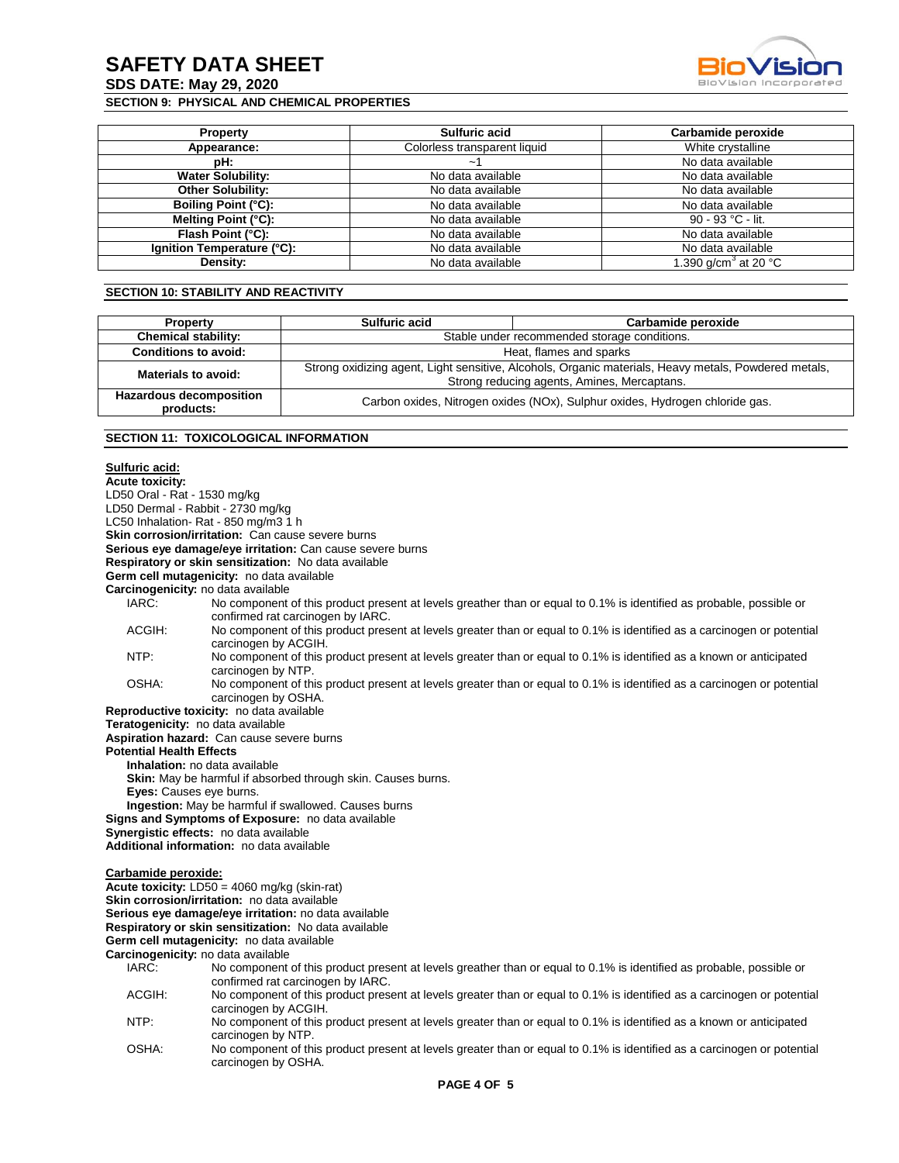**SDS DATE: May 29, 2020**

## **SECTION 9: PHYSICAL AND CHEMICAL PROPERTIES**



| <b>Property</b>            | <b>Sulfuric acid</b>         | Carbamide peroxide                         |
|----------------------------|------------------------------|--------------------------------------------|
| Appearance:                | Colorless transparent liquid | White crystalline                          |
| pH:                        | $\tilde{\phantom{a}}$        | No data available                          |
| <b>Water Solubility:</b>   | No data available            | No data available                          |
| <b>Other Solubility:</b>   | No data available            | No data available                          |
| <b>Boiling Point (°C):</b> | No data available            | No data available                          |
| Melting Point (°C):        | No data available            | 90 - 93 °C - lit.                          |
| Flash Point (°C):          | No data available            | No data available                          |
| Ignition Temperature (°C): | No data available            | No data available                          |
| Density:                   | No data available            | 1.390 g/cm <sup>3</sup> at 20 $^{\circ}$ C |

# **SECTION 10: STABILITY AND REACTIVITY**

| <b>Property</b>                             | Sulfuric acid                                                                                                                                       | Carbamide peroxide |  |
|---------------------------------------------|-----------------------------------------------------------------------------------------------------------------------------------------------------|--------------------|--|
| <b>Chemical stability:</b>                  | Stable under recommended storage conditions.                                                                                                        |                    |  |
| <b>Conditions to avoid:</b>                 | Heat, flames and sparks                                                                                                                             |                    |  |
| Materials to avoid:                         | Strong oxidizing agent, Light sensitive, Alcohols, Organic materials, Heavy metals, Powdered metals,<br>Strong reducing agents, Amines, Mercaptans. |                    |  |
| <b>Hazardous decomposition</b><br>products: | Carbon oxides, Nitrogen oxides (NOx), Sulphur oxides, Hydrogen chloride gas.                                                                        |                    |  |

### **SECTION 11: TOXICOLOGICAL INFORMATION**

# **Sulfuric acid:**

| oununu aulu.                    |                                                                                                                                                           |
|---------------------------------|-----------------------------------------------------------------------------------------------------------------------------------------------------------|
| <b>Acute toxicity:</b>          |                                                                                                                                                           |
| LD50 Oral - Rat - 1530 mg/kg    |                                                                                                                                                           |
|                                 | LD50 Dermal - Rabbit - 2730 mg/kg                                                                                                                         |
|                                 | LC50 Inhalation-Rat - 850 mg/m3 1 h                                                                                                                       |
|                                 | Skin corrosion/irritation: Can cause severe burns                                                                                                         |
|                                 | Serious eye damage/eye irritation: Can cause severe burns                                                                                                 |
|                                 | Respiratory or skin sensitization: No data available                                                                                                      |
|                                 | Germ cell mutagenicity: no data available                                                                                                                 |
|                                 | Carcinogenicity: no data available                                                                                                                        |
| IARC:                           | No component of this product present at levels greather than or equal to 0.1% is identified as probable, possible or<br>confirmed rat carcinogen by IARC. |
| ACGIH:                          | No component of this product present at levels greater than or equal to 0.1% is identified as a carcinogen or potential<br>carcinogen by ACGIH.           |
| NTP:                            | No component of this product present at levels greater than or equal to 0.1% is identified as a known or anticipated<br>carcinogen by NTP.                |
| OSHA:                           | No component of this product present at levels greater than or equal to 0.1% is identified as a carcinogen or potential<br>carcinogen by OSHA.            |
|                                 | Reproductive toxicity: no data available                                                                                                                  |
|                                 | Teratogenicity: no data available                                                                                                                         |
|                                 | Aspiration hazard: Can cause severe burns                                                                                                                 |
| <b>Potential Health Effects</b> |                                                                                                                                                           |
|                                 | Inhalation: no data available                                                                                                                             |
|                                 | Skin: May be harmful if absorbed through skin. Causes burns.                                                                                              |
|                                 | <b>Eyes:</b> Causes eye burns.                                                                                                                            |
|                                 | <b>Ingestion:</b> May be harmful if swallowed. Causes burns                                                                                               |
|                                 | Signs and Symptoms of Exposure: no data available                                                                                                         |
|                                 | Synergistic effects: no data available                                                                                                                    |
|                                 | Additional information: no data available                                                                                                                 |
| Carbamide peroxide:             |                                                                                                                                                           |
|                                 | <b>Acute toxicity:</b> $LD50 = 4060$ mg/kg (skin-rat)<br>Skin corrosion/irritation: no data available                                                     |
|                                 |                                                                                                                                                           |
|                                 | Serious eye damage/eye irritation: no data available                                                                                                      |
|                                 | Respiratory or skin sensitization: No data available                                                                                                      |
|                                 | Germ cell mutagenicity: no data available<br>Carcinogenicity: no data available                                                                           |
| IARC:                           |                                                                                                                                                           |
|                                 | No component of this product present at levels greather than or equal to 0.1% is identified as probable, possible or<br>confirmed rat carcinogen by IARC. |
| ACGIH:                          | No component of this product present at levels greater than or equal to 0.1% is identified as a carcinogen or potential                                   |
|                                 | carcinogen by ACGIH.                                                                                                                                      |
| NTP:                            | No component of this product present at levels greater than or equal to 0.1% is identified as a known or anticipated<br>carcinogen by NTP.                |

OSHA: No component of this product present at levels greater than or equal to 0.1% is identified as a carcinogen or potential carcinogen by OSHA.